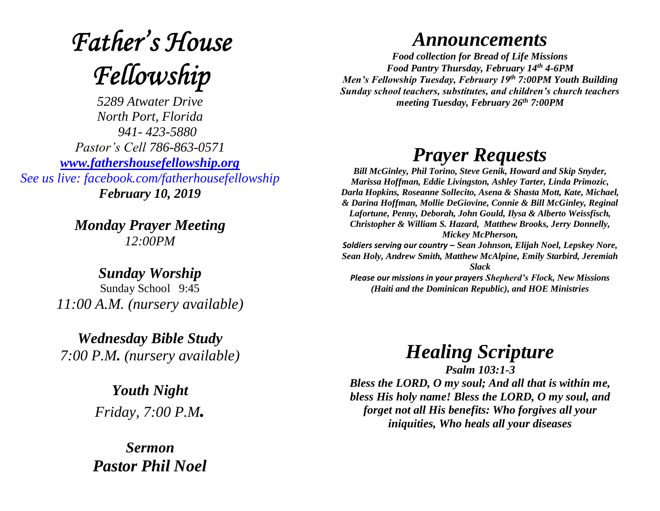## **Father's House** Fellowship

*5289 Atwater Drive North Port, Florida 941- 423-5880 Pastor's Cell 786-863-0571 [www.fathershousefellowship.org](http://www.fathershousefellowship.org/) See us live: facebook.com/fatherhousefellowship February 10, 2019*

> *Monday Prayer Meeting 12:00PM*

*Sunday Worship* Sunday School 9:45 *11:00 A.M. (nursery available)*

*Wednesday Bible Study 7:00 P.M. (nursery available)*

> *Youth Night Friday, 7:00 P.M.*

*Sermon Pastor Phil Noel*

## *Announcements*

*Food collection for Bread of Life Missions Food Pantry Thursday, February 14th 4-6PM Men's Fellowship Tuesday, February 19th 7:00PM Youth Building Sunday school teachers, substitutes, and children's church teachers meeting Tuesday, February 26th 7:00PM*

## *Prayer Requests*

*Bill McGinley, Phil Torino, Steve Genik, Howard and Skip Snyder, Marissa Hoffman, Eddie Livingston, Ashley Tarter, Linda Primozic, Darla Hopkins, Roseanne Sollecito, Asena & Shasta Mott, Kate, Michael, & Darina Hoffman, Mollie DeGiovine, Connie & Bill McGinley, Reginal Lafortune, Penny, Deborah, John Gould, Ilysa & Alberto Weissfisch, Christopher & William S. Hazard, Matthew Brooks, Jerry Donnelly, Mickey McPherson, Soldiers serving our country – Sean Johnson, Elijah Noel, Lepskey Nore, Sean Holy, Andrew Smith, Matthew McAlpine, Emily Starbird, Jeremiah Slack Please our missions in your prayers Shepherd's Flock, New Missions* 

*(Haiti and the Dominican Republic), and HOE Ministries*

*Healing Scripture*

*Psalm 103:1-3 Bless the LORD, O my soul; And all that is within me, bless His holy name! Bless the LORD, O my soul, and forget not all His benefits: Who forgives all your iniquities, Who heals all your diseases*